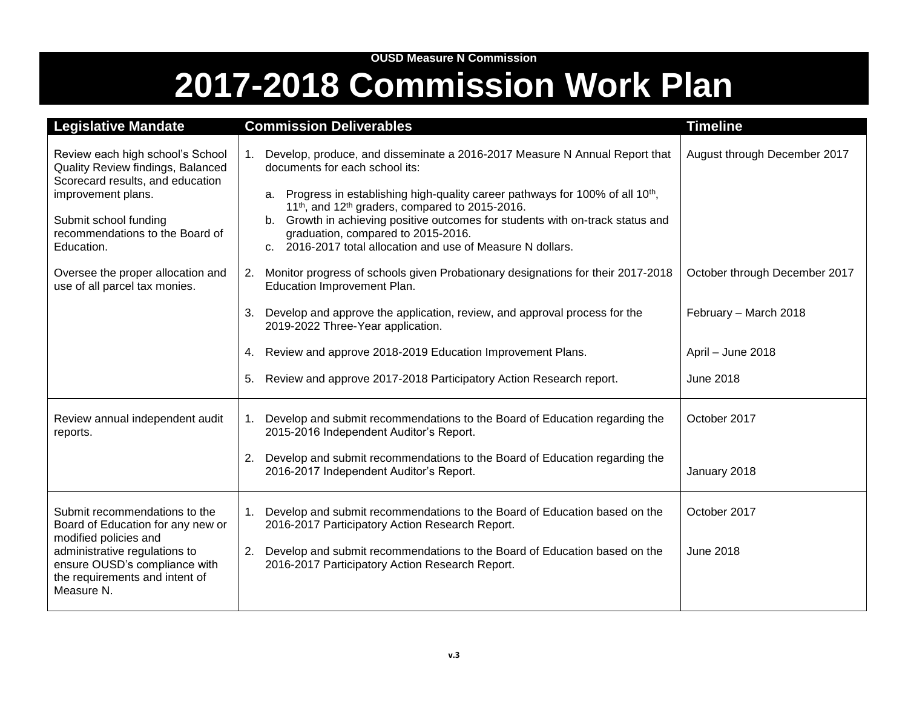## **OUSD Measure N Commission 2017-2018 Commission Work Plan**

| <b>Legislative Mandate</b>                                                                                                                                                                                    | <b>Commission Deliverables</b>                                                                                                                                                                                                                                                                                                                                                                                                                                                   | <b>Timeline</b>               |
|---------------------------------------------------------------------------------------------------------------------------------------------------------------------------------------------------------------|----------------------------------------------------------------------------------------------------------------------------------------------------------------------------------------------------------------------------------------------------------------------------------------------------------------------------------------------------------------------------------------------------------------------------------------------------------------------------------|-------------------------------|
| Review each high school's School<br>Quality Review findings, Balanced<br>Scorecard results, and education<br>improvement plans.<br>Submit school funding<br>recommendations to the Board of<br>Education.     | Develop, produce, and disseminate a 2016-2017 Measure N Annual Report that<br>1.<br>documents for each school its:<br>a. Progress in establishing high-quality career pathways for 100% of all 10 <sup>th</sup> ,<br>11 <sup>th</sup> , and 12 <sup>th</sup> graders, compared to 2015-2016.<br>Growth in achieving positive outcomes for students with on-track status and<br>graduation, compared to 2015-2016.<br>c. 2016-2017 total allocation and use of Measure N dollars. | August through December 2017  |
| Oversee the proper allocation and<br>use of all parcel tax monies.                                                                                                                                            | Monitor progress of schools given Probationary designations for their 2017-2018<br>2.<br>Education Improvement Plan.                                                                                                                                                                                                                                                                                                                                                             | October through December 2017 |
|                                                                                                                                                                                                               | Develop and approve the application, review, and approval process for the<br>3.<br>2019-2022 Three-Year application.                                                                                                                                                                                                                                                                                                                                                             | February - March 2018         |
|                                                                                                                                                                                                               | Review and approve 2018-2019 Education Improvement Plans.<br>4.                                                                                                                                                                                                                                                                                                                                                                                                                  | April - June 2018             |
|                                                                                                                                                                                                               | Review and approve 2017-2018 Participatory Action Research report.<br>5.                                                                                                                                                                                                                                                                                                                                                                                                         | <b>June 2018</b>              |
| Review annual independent audit<br>reports.                                                                                                                                                                   | Develop and submit recommendations to the Board of Education regarding the<br>1.<br>2015-2016 Independent Auditor's Report.                                                                                                                                                                                                                                                                                                                                                      | October 2017                  |
|                                                                                                                                                                                                               | 2.<br>Develop and submit recommendations to the Board of Education regarding the<br>2016-2017 Independent Auditor's Report.                                                                                                                                                                                                                                                                                                                                                      | January 2018                  |
| Submit recommendations to the<br>Board of Education for any new or<br>modified policies and<br>administrative regulations to<br>ensure OUSD's compliance with<br>the requirements and intent of<br>Measure N. | Develop and submit recommendations to the Board of Education based on the<br>1.<br>2016-2017 Participatory Action Research Report.                                                                                                                                                                                                                                                                                                                                               | October 2017                  |
|                                                                                                                                                                                                               | 2.<br>Develop and submit recommendations to the Board of Education based on the<br>2016-2017 Participatory Action Research Report.                                                                                                                                                                                                                                                                                                                                               | <b>June 2018</b>              |